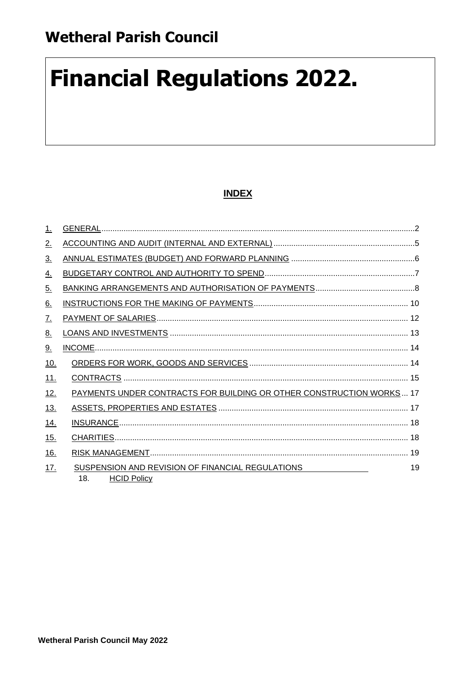# **Financial Regulations 2022.**

# **INDEX**

| $\perp$    |                                                                                                                  |
|------------|------------------------------------------------------------------------------------------------------------------|
| 2.         |                                                                                                                  |
| <u>3.</u>  |                                                                                                                  |
| <u>4.</u>  |                                                                                                                  |
| 5.         |                                                                                                                  |
| <u>6.</u>  |                                                                                                                  |
| <u>7.</u>  |                                                                                                                  |
| <u>8.</u>  |                                                                                                                  |
| 9.         |                                                                                                                  |
| <u>10.</u> |                                                                                                                  |
| 11.        |                                                                                                                  |
| 12.        | PAYMENTS UNDER CONTRACTS FOR BUILDING OR OTHER CONSTRUCTION WORKS 17                                             |
| <u>13.</u> |                                                                                                                  |
| <u>14.</u> |                                                                                                                  |
| 15.        |                                                                                                                  |
| 16.        |                                                                                                                  |
| 17.        | 19<br>SUSPENSION AND REVISION OF FINANCIAL REGULATIONS FOR AN INCOMENDATION STATES.<br>18.<br><b>HCID Policy</b> |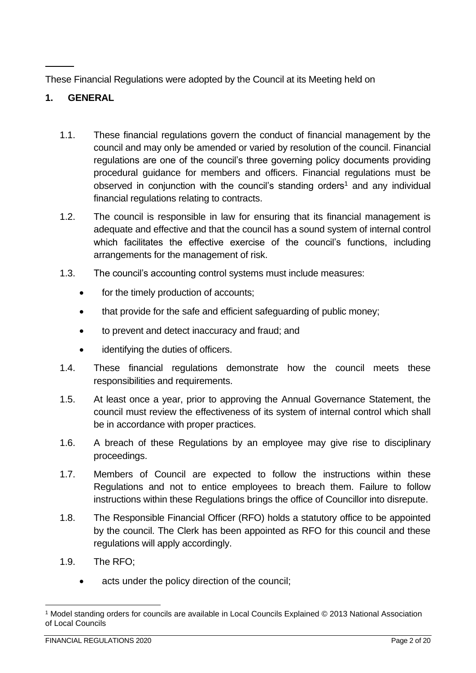These Financial Regulations were adopted by the Council at its Meeting held on

# <span id="page-1-0"></span>**1. GENERAL**

- 1.1. These financial regulations govern the conduct of financial management by the council and may only be amended or varied by resolution of the council. Financial regulations are one of the council's three governing policy documents providing procedural guidance for members and officers. Financial regulations must be observed in conjunction with the council's standing orders<sup>1</sup> and any individual financial regulations relating to contracts.
- 1.2. The council is responsible in law for ensuring that its financial management is adequate and effective and that the council has a sound system of internal control which facilitates the effective exercise of the council's functions, including arrangements for the management of risk.
- 1.3. The council's accounting control systems must include measures:
	- for the timely production of accounts;
	- that provide for the safe and efficient safeguarding of public money;
	- to prevent and detect inaccuracy and fraud; and
	- identifying the duties of officers.
- 1.4. These financial regulations demonstrate how the council meets these responsibilities and requirements.
- 1.5. At least once a year, prior to approving the Annual Governance Statement, the council must review the effectiveness of its system of internal control which shall be in accordance with proper practices.
- 1.6. A breach of these Regulations by an employee may give rise to disciplinary proceedings.
- 1.7. Members of Council are expected to follow the instructions within these Regulations and not to entice employees to breach them. Failure to follow instructions within these Regulations brings the office of Councillor into disrepute.
- 1.8. The Responsible Financial Officer (RFO) holds a statutory office to be appointed by the council. The Clerk has been appointed as RFO for this council and these regulations will apply accordingly.
- 1.9. The RFO;
	- acts under the policy direction of the council;

<sup>1</sup> Model standing orders for councils are available in Local Councils Explained © 2013 National Association of Local Councils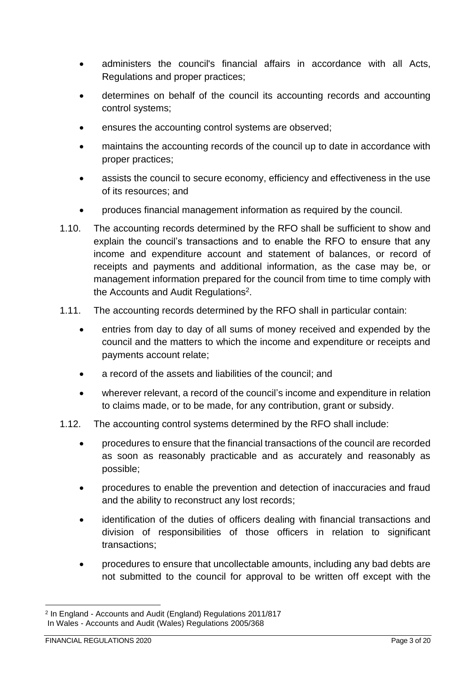- administers the council's financial affairs in accordance with all Acts, Regulations and proper practices;
- determines on behalf of the council its accounting records and accounting control systems;
- ensures the accounting control systems are observed;
- maintains the accounting records of the council up to date in accordance with proper practices;
- assists the council to secure economy, efficiency and effectiveness in the use of its resources; and
- produces financial management information as required by the council.
- 1.10. The accounting records determined by the RFO shall be sufficient to show and explain the council's transactions and to enable the RFO to ensure that any income and expenditure account and statement of balances, or record of receipts and payments and additional information, as the case may be, or management information prepared for the council from time to time comply with the Accounts and Audit Regulations<sup>2</sup>.
- 1.11. The accounting records determined by the RFO shall in particular contain:
	- entries from day to day of all sums of money received and expended by the council and the matters to which the income and expenditure or receipts and payments account relate;
	- a record of the assets and liabilities of the council; and
	- wherever relevant, a record of the council's income and expenditure in relation to claims made, or to be made, for any contribution, grant or subsidy.
- 1.12. The accounting control systems determined by the RFO shall include:
	- procedures to ensure that the financial transactions of the council are recorded as soon as reasonably practicable and as accurately and reasonably as possible;
	- procedures to enable the prevention and detection of inaccuracies and fraud and the ability to reconstruct any lost records;
	- identification of the duties of officers dealing with financial transactions and division of responsibilities of those officers in relation to significant transactions;
	- procedures to ensure that uncollectable amounts, including any bad debts are not submitted to the council for approval to be written off except with the

<sup>2</sup> In England - Accounts and Audit (England) Regulations 2011/817 In Wales - Accounts and Audit (Wales) Regulations 2005/368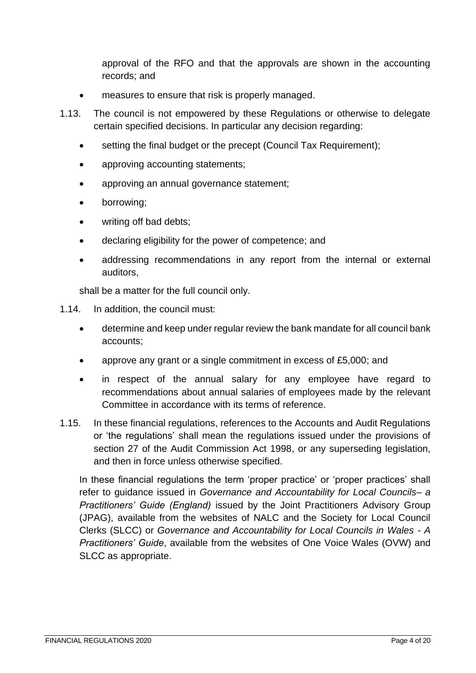approval of the RFO and that the approvals are shown in the accounting records; and

- measures to ensure that risk is properly managed.
- 1.13. The council is not empowered by these Regulations or otherwise to delegate certain specified decisions. In particular any decision regarding:
	- setting the final budget or the precept (Council Tax Requirement);
	- approving accounting statements;
	- approving an annual governance statement;
	- borrowing;
	- writing off bad debts:
	- declaring eligibility for the power of competence; and
	- addressing recommendations in any report from the internal or external auditors,

shall be a matter for the full council only.

- 1.14. In addition, the council must:
	- determine and keep under regular review the bank mandate for all council bank accounts;
	- approve any grant or a single commitment in excess of £5,000; and
	- in respect of the annual salary for any employee have regard to recommendations about annual salaries of employees made by the relevant Committee in accordance with its terms of reference.
- 1.15. In these financial regulations, references to the Accounts and Audit Regulations or 'the regulations' shall mean the regulations issued under the provisions of section 27 of the Audit Commission Act 1998, or any superseding legislation, and then in force unless otherwise specified.

In these financial regulations the term 'proper practice' or 'proper practices' shall refer to guidance issued in *Governance and Accountability for Local Councils– a Practitioners' Guide (England)* issued by the Joint Practitioners Advisory Group (JPAG), available from the websites of NALC and the Society for Local Council Clerks (SLCC) or *Governance and Accountability for Local Councils in Wales - A Practitioners' Guide*, available from the websites of One Voice Wales (OVW) and SLCC as appropriate.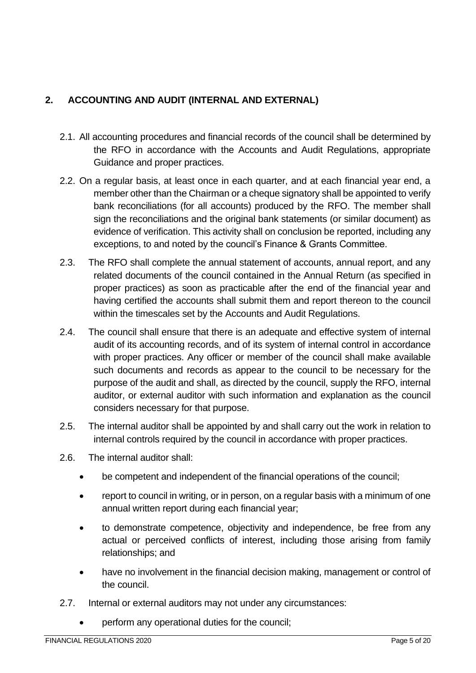# <span id="page-4-0"></span>**2. ACCOUNTING AND AUDIT (INTERNAL AND EXTERNAL)**

- 2.1. All accounting procedures and financial records of the council shall be determined by the RFO in accordance with the Accounts and Audit Regulations, appropriate Guidance and proper practices.
- 2.2. On a regular basis, at least once in each quarter, and at each financial year end, a member other than the Chairman or a cheque signatory shall be appointed to verify bank reconciliations (for all accounts) produced by the RFO. The member shall sign the reconciliations and the original bank statements (or similar document) as evidence of verification. This activity shall on conclusion be reported, including any exceptions, to and noted by the council's Finance & Grants Committee.
- 2.3. The RFO shall complete the annual statement of accounts, annual report, and any related documents of the council contained in the Annual Return (as specified in proper practices) as soon as practicable after the end of the financial year and having certified the accounts shall submit them and report thereon to the council within the timescales set by the Accounts and Audit Regulations.
- 2.4. The council shall ensure that there is an adequate and effective system of internal audit of its accounting records, and of its system of internal control in accordance with proper practices. Any officer or member of the council shall make available such documents and records as appear to the council to be necessary for the purpose of the audit and shall, as directed by the council, supply the RFO, internal auditor, or external auditor with such information and explanation as the council considers necessary for that purpose.
- 2.5. The internal auditor shall be appointed by and shall carry out the work in relation to internal controls required by the council in accordance with proper practices.
- 2.6. The internal auditor shall:
	- be competent and independent of the financial operations of the council;
	- report to council in writing, or in person, on a regular basis with a minimum of one annual written report during each financial year;
	- to demonstrate competence, objectivity and independence, be free from any actual or perceived conflicts of interest, including those arising from family relationships; and
	- have no involvement in the financial decision making, management or control of the council.
- 2.7. Internal or external auditors may not under any circumstances:
	- perform any operational duties for the council;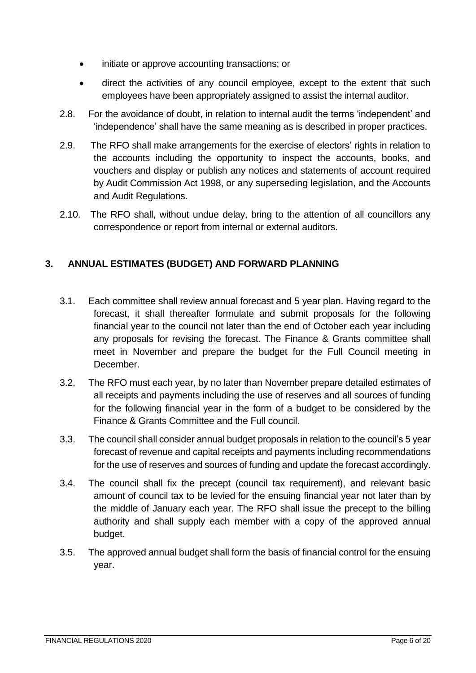- initiate or approve accounting transactions; or
- direct the activities of any council employee, except to the extent that such employees have been appropriately assigned to assist the internal auditor.
- 2.8. For the avoidance of doubt, in relation to internal audit the terms 'independent' and 'independence' shall have the same meaning as is described in proper practices.
- 2.9. The RFO shall make arrangements for the exercise of electors' rights in relation to the accounts including the opportunity to inspect the accounts, books, and vouchers and display or publish any notices and statements of account required by Audit Commission Act 1998, or any superseding legislation, and the Accounts and Audit Regulations.
- 2.10. The RFO shall, without undue delay, bring to the attention of all councillors any correspondence or report from internal or external auditors.

## <span id="page-5-0"></span>**3. ANNUAL ESTIMATES (BUDGET) AND FORWARD PLANNING**

- 3.1. Each committee shall review annual forecast and 5 year plan. Having regard to the forecast, it shall thereafter formulate and submit proposals for the following financial year to the council not later than the end of October each year including any proposals for revising the forecast. The Finance & Grants committee shall meet in November and prepare the budget for the Full Council meeting in **December**
- 3.2. The RFO must each year, by no later than November prepare detailed estimates of all receipts and payments including the use of reserves and all sources of funding for the following financial year in the form of a budget to be considered by the Finance & Grants Committee and the Full council.
- 3.3. The council shall consider annual budget proposals in relation to the council's 5 year forecast of revenue and capital receipts and payments including recommendations for the use of reserves and sources of funding and update the forecast accordingly.
- 3.4. The council shall fix the precept (council tax requirement), and relevant basic amount of council tax to be levied for the ensuing financial year not later than by the middle of January each year. The RFO shall issue the precept to the billing authority and shall supply each member with a copy of the approved annual budget.
- 3.5. The approved annual budget shall form the basis of financial control for the ensuing year.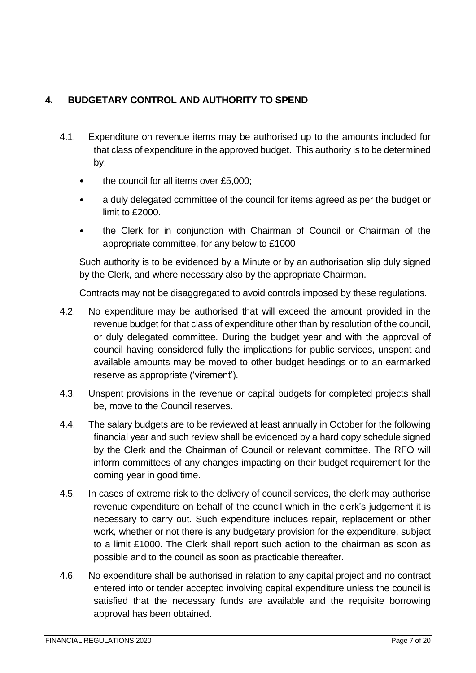# <span id="page-6-0"></span>**4. BUDGETARY CONTROL AND AUTHORITY TO SPEND**

- 4.1. Expenditure on revenue items may be authorised up to the amounts included for that class of expenditure in the approved budget. This authority is to be determined by:
	- the council for all items over £5,000;
	- a duly delegated committee of the council for items agreed as per the budget or limit to £2000.
	- the Clerk for in conjunction with Chairman of Council or Chairman of the appropriate committee, for any below to £1000

Such authority is to be evidenced by a Minute or by an authorisation slip duly signed by the Clerk, and where necessary also by the appropriate Chairman.

Contracts may not be disaggregated to avoid controls imposed by these regulations.

- 4.2. No expenditure may be authorised that will exceed the amount provided in the revenue budget for that class of expenditure other than by resolution of the council, or duly delegated committee. During the budget year and with the approval of council having considered fully the implications for public services, unspent and available amounts may be moved to other budget headings or to an earmarked reserve as appropriate ('virement').
- 4.3. Unspent provisions in the revenue or capital budgets for completed projects shall be, move to the Council reserves.
- 4.4. The salary budgets are to be reviewed at least annually in October for the following financial year and such review shall be evidenced by a hard copy schedule signed by the Clerk and the Chairman of Council or relevant committee. The RFO will inform committees of any changes impacting on their budget requirement for the coming year in good time.
- 4.5. In cases of extreme risk to the delivery of council services, the clerk may authorise revenue expenditure on behalf of the council which in the clerk's judgement it is necessary to carry out. Such expenditure includes repair, replacement or other work, whether or not there is any budgetary provision for the expenditure, subject to a limit £1000. The Clerk shall report such action to the chairman as soon as possible and to the council as soon as practicable thereafter.
- 4.6. No expenditure shall be authorised in relation to any capital project and no contract entered into or tender accepted involving capital expenditure unless the council is satisfied that the necessary funds are available and the requisite borrowing approval has been obtained.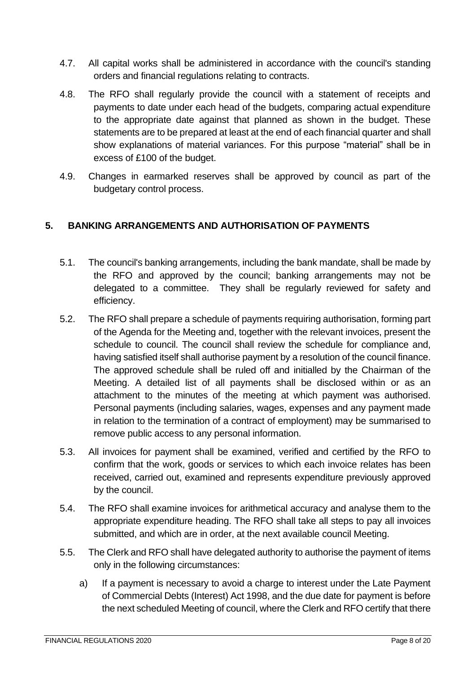- 4.7. All capital works shall be administered in accordance with the council's standing orders and financial regulations relating to contracts.
- 4.8. The RFO shall regularly provide the council with a statement of receipts and payments to date under each head of the budgets, comparing actual expenditure to the appropriate date against that planned as shown in the budget. These statements are to be prepared at least at the end of each financial quarter and shall show explanations of material variances. For this purpose "material" shall be in excess of £100 of the budget.
- 4.9. Changes in earmarked reserves shall be approved by council as part of the budgetary control process.

## <span id="page-7-0"></span>**5. BANKING ARRANGEMENTS AND AUTHORISATION OF PAYMENTS**

- 5.1. The council's banking arrangements, including the bank mandate, shall be made by the RFO and approved by the council; banking arrangements may not be delegated to a committee. They shall be regularly reviewed for safety and efficiency.
- 5.2. The RFO shall prepare a schedule of payments requiring authorisation, forming part of the Agenda for the Meeting and, together with the relevant invoices, present the schedule to council. The council shall review the schedule for compliance and, having satisfied itself shall authorise payment by a resolution of the council finance. The approved schedule shall be ruled off and initialled by the Chairman of the Meeting. A detailed list of all payments shall be disclosed within or as an attachment to the minutes of the meeting at which payment was authorised. Personal payments (including salaries, wages, expenses and any payment made in relation to the termination of a contract of employment) may be summarised to remove public access to any personal information.
- 5.3. All invoices for payment shall be examined, verified and certified by the RFO to confirm that the work, goods or services to which each invoice relates has been received, carried out, examined and represents expenditure previously approved by the council.
- 5.4. The RFO shall examine invoices for arithmetical accuracy and analyse them to the appropriate expenditure heading. The RFO shall take all steps to pay all invoices submitted, and which are in order, at the next available council Meeting.
- 5.5. The Clerk and RFO shall have delegated authority to authorise the payment of items only in the following circumstances:
	- a) If a payment is necessary to avoid a charge to interest under the Late Payment of Commercial Debts (Interest) Act 1998, and the due date for payment is before the next scheduled Meeting of council, where the Clerk and RFO certify that there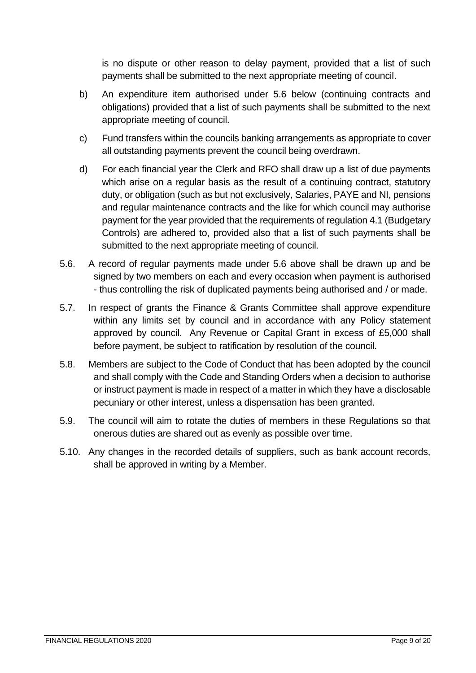is no dispute or other reason to delay payment, provided that a list of such payments shall be submitted to the next appropriate meeting of council.

- b) An expenditure item authorised under 5.6 below (continuing contracts and obligations) provided that a list of such payments shall be submitted to the next appropriate meeting of council.
- c) Fund transfers within the councils banking arrangements as appropriate to cover all outstanding payments prevent the council being overdrawn.
- d) For each financial year the Clerk and RFO shall draw up a list of due payments which arise on a regular basis as the result of a continuing contract, statutory duty, or obligation (such as but not exclusively, Salaries, PAYE and NI, pensions and regular maintenance contracts and the like for which council may authorise payment for the year provided that the requirements of regulation 4.1 (Budgetary Controls) are adhered to, provided also that a list of such payments shall be submitted to the next appropriate meeting of council.
- 5.6. A record of regular payments made under 5.6 above shall be drawn up and be signed by two members on each and every occasion when payment is authorised - thus controlling the risk of duplicated payments being authorised and / or made.
- 5.7. In respect of grants the Finance & Grants Committee shall approve expenditure within any limits set by council and in accordance with any Policy statement approved by council. Any Revenue or Capital Grant in excess of £5,000 shall before payment, be subject to ratification by resolution of the council.
- 5.8. Members are subject to the Code of Conduct that has been adopted by the council and shall comply with the Code and Standing Orders when a decision to authorise or instruct payment is made in respect of a matter in which they have a disclosable pecuniary or other interest, unless a dispensation has been granted.
- 5.9. The council will aim to rotate the duties of members in these Regulations so that onerous duties are shared out as evenly as possible over time.
- 5.10. Any changes in the recorded details of suppliers, such as bank account records, shall be approved in writing by a Member.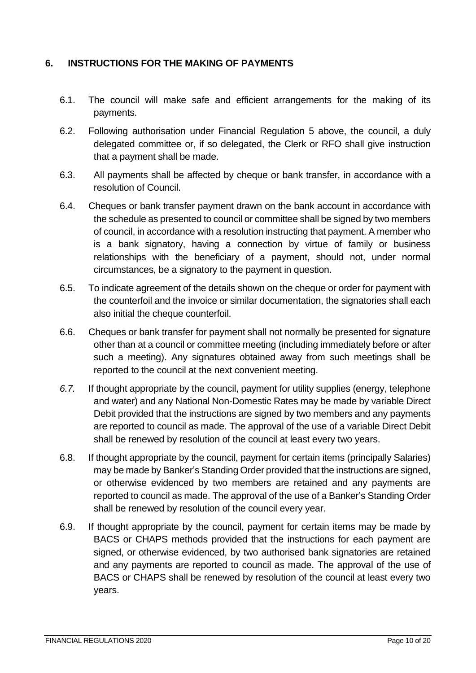### <span id="page-9-0"></span>**6. INSTRUCTIONS FOR THE MAKING OF PAYMENTS**

- 6.1. The council will make safe and efficient arrangements for the making of its payments.
- 6.2. Following authorisation under Financial Regulation 5 above, the council, a duly delegated committee or, if so delegated, the Clerk or RFO shall give instruction that a payment shall be made.
- 6.3. All payments shall be affected by cheque or bank transfer, in accordance with a resolution of Council.
- 6.4. Cheques or bank transfer payment drawn on the bank account in accordance with the schedule as presented to council or committee shall be signed by two members of council, in accordance with a resolution instructing that payment. A member who is a bank signatory, having a connection by virtue of family or business relationships with the beneficiary of a payment, should not, under normal circumstances, be a signatory to the payment in question.
- 6.5. To indicate agreement of the details shown on the cheque or order for payment with the counterfoil and the invoice or similar documentation, the signatories shall each also initial the cheque counterfoil.
- 6.6. Cheques or bank transfer for payment shall not normally be presented for signature other than at a council or committee meeting (including immediately before or after such a meeting). Any signatures obtained away from such meetings shall be reported to the council at the next convenient meeting.
- *6.7.* If thought appropriate by the council, payment for utility supplies (energy, telephone and water) and any National Non-Domestic Rates may be made by variable Direct Debit provided that the instructions are signed by two members and any payments are reported to council as made. The approval of the use of a variable Direct Debit shall be renewed by resolution of the council at least every two years.
- 6.8. If thought appropriate by the council, payment for certain items (principally Salaries) may be made by Banker's Standing Order provided that the instructions are signed, or otherwise evidenced by two members are retained and any payments are reported to council as made. The approval of the use of a Banker's Standing Order shall be renewed by resolution of the council every year.
- 6.9. If thought appropriate by the council, payment for certain items may be made by BACS or CHAPS methods provided that the instructions for each payment are signed, or otherwise evidenced, by two authorised bank signatories are retained and any payments are reported to council as made. The approval of the use of BACS or CHAPS shall be renewed by resolution of the council at least every two years.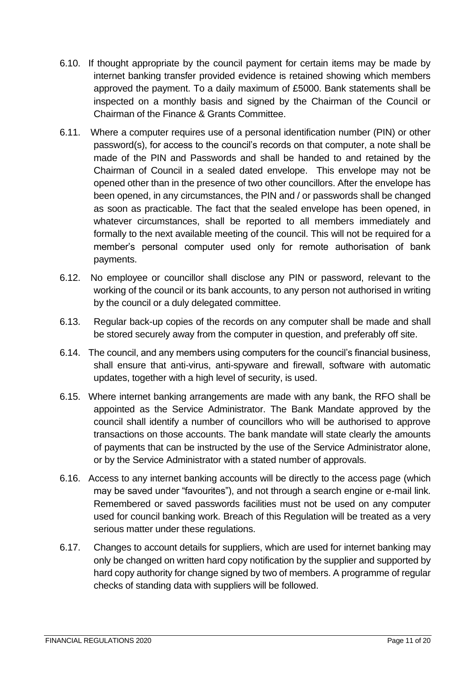- 6.10. If thought appropriate by the council payment for certain items may be made by internet banking transfer provided evidence is retained showing which members approved the payment. To a daily maximum of £5000. Bank statements shall be inspected on a monthly basis and signed by the Chairman of the Council or Chairman of the Finance & Grants Committee.
- 6.11. Where a computer requires use of a personal identification number (PIN) or other password(s), for access to the council's records on that computer, a note shall be made of the PIN and Passwords and shall be handed to and retained by the Chairman of Council in a sealed dated envelope. This envelope may not be opened other than in the presence of two other councillors. After the envelope has been opened, in any circumstances, the PIN and / or passwords shall be changed as soon as practicable. The fact that the sealed envelope has been opened, in whatever circumstances, shall be reported to all members immediately and formally to the next available meeting of the council. This will not be required for a member's personal computer used only for remote authorisation of bank payments.
- 6.12. No employee or councillor shall disclose any PIN or password, relevant to the working of the council or its bank accounts, to any person not authorised in writing by the council or a duly delegated committee.
- 6.13. Regular back-up copies of the records on any computer shall be made and shall be stored securely away from the computer in question, and preferably off site.
- 6.14. The council, and any members using computers for the council's financial business, shall ensure that anti-virus, anti-spyware and firewall, software with automatic updates, together with a high level of security, is used.
- 6.15. Where internet banking arrangements are made with any bank, the RFO shall be appointed as the Service Administrator. The Bank Mandate approved by the council shall identify a number of councillors who will be authorised to approve transactions on those accounts. The bank mandate will state clearly the amounts of payments that can be instructed by the use of the Service Administrator alone, or by the Service Administrator with a stated number of approvals.
- 6.16. Access to any internet banking accounts will be directly to the access page (which may be saved under "favourites"), and not through a search engine or e-mail link. Remembered or saved passwords facilities must not be used on any computer used for council banking work. Breach of this Regulation will be treated as a very serious matter under these regulations.
- 6.17. Changes to account details for suppliers, which are used for internet banking may only be changed on written hard copy notification by the supplier and supported by hard copy authority for change signed by two of members. A programme of regular checks of standing data with suppliers will be followed.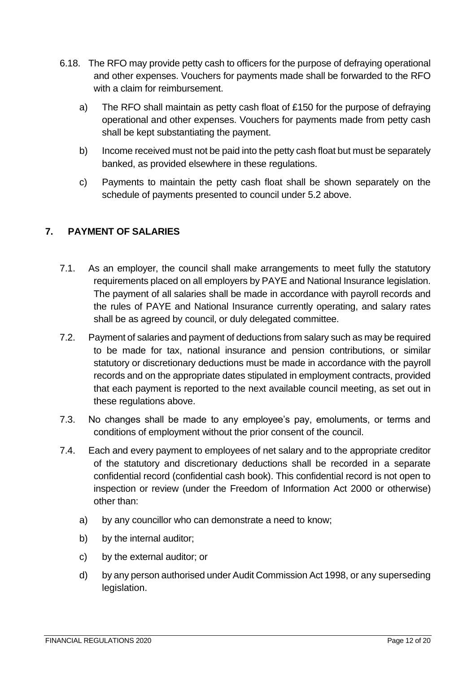- 6.18. The RFO may provide petty cash to officers for the purpose of defraying operational and other expenses. Vouchers for payments made shall be forwarded to the RFO with a claim for reimbursement.
	- a) The RFO shall maintain as petty cash float of £150 for the purpose of defraying operational and other expenses. Vouchers for payments made from petty cash shall be kept substantiating the payment.
	- b) Income received must not be paid into the petty cash float but must be separately banked, as provided elsewhere in these regulations.
	- c) Payments to maintain the petty cash float shall be shown separately on the schedule of payments presented to council under 5.2 above.

# <span id="page-11-0"></span>**7. PAYMENT OF SALARIES**

- 7.1. As an employer, the council shall make arrangements to meet fully the statutory requirements placed on all employers by PAYE and National Insurance legislation. The payment of all salaries shall be made in accordance with payroll records and the rules of PAYE and National Insurance currently operating, and salary rates shall be as agreed by council, or duly delegated committee.
- 7.2. Payment of salaries and payment of deductions from salary such as may be required to be made for tax, national insurance and pension contributions, or similar statutory or discretionary deductions must be made in accordance with the payroll records and on the appropriate dates stipulated in employment contracts, provided that each payment is reported to the next available council meeting, as set out in these regulations above.
- 7.3. No changes shall be made to any employee's pay, emoluments, or terms and conditions of employment without the prior consent of the council.
- 7.4. Each and every payment to employees of net salary and to the appropriate creditor of the statutory and discretionary deductions shall be recorded in a separate confidential record (confidential cash book). This confidential record is not open to inspection or review (under the Freedom of Information Act 2000 or otherwise) other than:
	- a) by any councillor who can demonstrate a need to know;
	- b) by the internal auditor;
	- c) by the external auditor; or
	- d) by any person authorised under Audit Commission Act 1998, or any superseding legislation.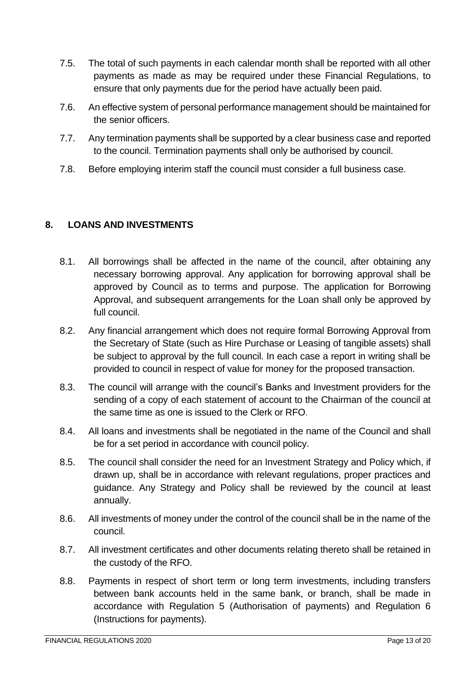- 7.5. The total of such payments in each calendar month shall be reported with all other payments as made as may be required under these Financial Regulations, to ensure that only payments due for the period have actually been paid.
- 7.6. An effective system of personal performance management should be maintained for the senior officers.
- 7.7. Any termination payments shall be supported by a clear business case and reported to the council. Termination payments shall only be authorised by council.
- 7.8. Before employing interim staff the council must consider a full business case.

# <span id="page-12-0"></span>**8. LOANS AND INVESTMENTS**

- 8.1. All borrowings shall be affected in the name of the council, after obtaining any necessary borrowing approval. Any application for borrowing approval shall be approved by Council as to terms and purpose. The application for Borrowing Approval, and subsequent arrangements for the Loan shall only be approved by full council.
- 8.2. Any financial arrangement which does not require formal Borrowing Approval from the Secretary of State (such as Hire Purchase or Leasing of tangible assets) shall be subject to approval by the full council. In each case a report in writing shall be provided to council in respect of value for money for the proposed transaction.
- 8.3. The council will arrange with the council's Banks and Investment providers for the sending of a copy of each statement of account to the Chairman of the council at the same time as one is issued to the Clerk or RFO.
- 8.4. All loans and investments shall be negotiated in the name of the Council and shall be for a set period in accordance with council policy.
- 8.5. The council shall consider the need for an Investment Strategy and Policy which, if drawn up, shall be in accordance with relevant regulations, proper practices and guidance. Any Strategy and Policy shall be reviewed by the council at least annually.
- 8.6. All investments of money under the control of the council shall be in the name of the council.
- 8.7. All investment certificates and other documents relating thereto shall be retained in the custody of the RFO.
- 8.8. Payments in respect of short term or long term investments, including transfers between bank accounts held in the same bank, or branch, shall be made in accordance with Regulation 5 (Authorisation of payments) and Regulation 6 (Instructions for payments).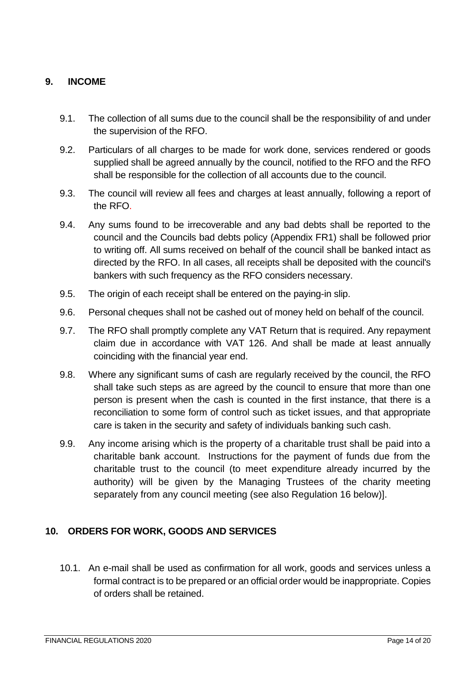## <span id="page-13-0"></span>**9. INCOME**

- 9.1. The collection of all sums due to the council shall be the responsibility of and under the supervision of the RFO.
- 9.2. Particulars of all charges to be made for work done, services rendered or goods supplied shall be agreed annually by the council, notified to the RFO and the RFO shall be responsible for the collection of all accounts due to the council.
- 9.3. The council will review all fees and charges at least annually, following a report of the RFO.
- 9.4. Any sums found to be irrecoverable and any bad debts shall be reported to the council and the Councils bad debts policy (Appendix FR1) shall be followed prior to writing off. All sums received on behalf of the council shall be banked intact as directed by the RFO. In all cases, all receipts shall be deposited with the council's bankers with such frequency as the RFO considers necessary.
- 9.5. The origin of each receipt shall be entered on the paying-in slip.
- 9.6. Personal cheques shall not be cashed out of money held on behalf of the council.
- 9.7. The RFO shall promptly complete any VAT Return that is required. Any repayment claim due in accordance with VAT 126. And shall be made at least annually coinciding with the financial year end.
- 9.8. Where any significant sums of cash are regularly received by the council, the RFO shall take such steps as are agreed by the council to ensure that more than one person is present when the cash is counted in the first instance, that there is a reconciliation to some form of control such as ticket issues, and that appropriate care is taken in the security and safety of individuals banking such cash.
- 9.9. Any income arising which is the property of a charitable trust shall be paid into a charitable bank account. Instructions for the payment of funds due from the charitable trust to the council (to meet expenditure already incurred by the authority) will be given by the Managing Trustees of the charity meeting separately from any council meeting (see also Regulation 16 below)].

### <span id="page-13-1"></span>**10. ORDERS FOR WORK, GOODS AND SERVICES**

10.1. An e-mail shall be used as confirmation for all work, goods and services unless a formal contract is to be prepared or an official order would be inappropriate. Copies of orders shall be retained.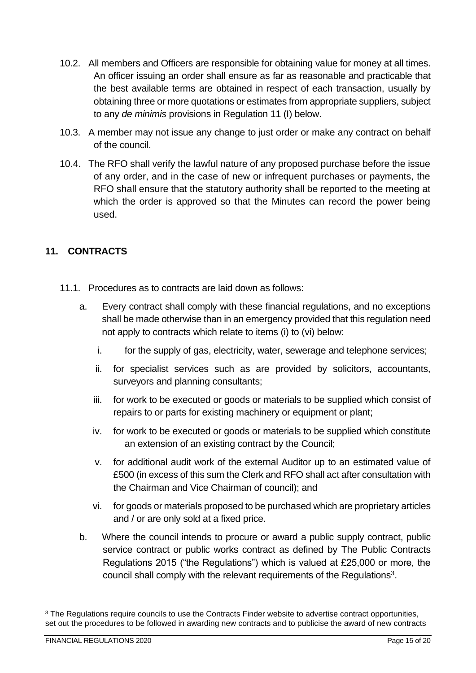- 10.2. All members and Officers are responsible for obtaining value for money at all times. An officer issuing an order shall ensure as far as reasonable and practicable that the best available terms are obtained in respect of each transaction, usually by obtaining three or more quotations or estimates from appropriate suppliers, subject to any *de minimis* provisions in Regulation 11 (I) below.
- 10.3. A member may not issue any change to just order or make any contract on behalf of the council.
- 10.4. The RFO shall verify the lawful nature of any proposed purchase before the issue of any order, and in the case of new or infrequent purchases or payments, the RFO shall ensure that the statutory authority shall be reported to the meeting at which the order is approved so that the Minutes can record the power being used.

# <span id="page-14-0"></span>**11. CONTRACTS**

- 11.1. Procedures as to contracts are laid down as follows:
	- a. Every contract shall comply with these financial regulations, and no exceptions shall be made otherwise than in an emergency provided that this regulation need not apply to contracts which relate to items (i) to (vi) below:
		- i. for the supply of gas, electricity, water, sewerage and telephone services;
		- ii. for specialist services such as are provided by solicitors, accountants, surveyors and planning consultants;
		- iii. for work to be executed or goods or materials to be supplied which consist of repairs to or parts for existing machinery or equipment or plant;
		- iv. for work to be executed or goods or materials to be supplied which constitute an extension of an existing contract by the Council;
		- v. for additional audit work of the external Auditor up to an estimated value of £500 (in excess of this sum the Clerk and RFO shall act after consultation with the Chairman and Vice Chairman of council); and
		- vi. for goods or materials proposed to be purchased which are proprietary articles and / or are only sold at a fixed price.
	- b. Where the council intends to procure or award a public supply contract, public service contract or public works contract as defined by The Public Contracts Regulations 2015 ("the Regulations") which is valued at £25,000 or more, the council shall comply with the relevant requirements of the Regulations<sup>3</sup>.

<sup>&</sup>lt;sup>3</sup> The Regulations require councils to use the Contracts Finder website to advertise contract opportunities, set out the procedures to be followed in awarding new contracts and to publicise the award of new contracts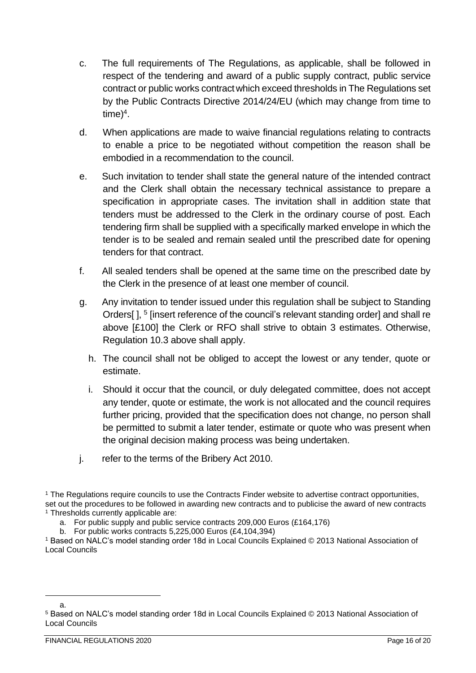- c. The full requirements of The Regulations, as applicable, shall be followed in respect of the tendering and award of a public supply contract, public service contract or public works contractwhich exceed thresholds in The Regulations set by the Public Contracts Directive 2014/24/EU (which may change from time to  $time)^4$ .
- d. When applications are made to waive financial regulations relating to contracts to enable a price to be negotiated without competition the reason shall be embodied in a recommendation to the council.
- e. Such invitation to tender shall state the general nature of the intended contract and the Clerk shall obtain the necessary technical assistance to prepare a specification in appropriate cases. The invitation shall in addition state that tenders must be addressed to the Clerk in the ordinary course of post. Each tendering firm shall be supplied with a specifically marked envelope in which the tender is to be sealed and remain sealed until the prescribed date for opening tenders for that contract.
- f. All sealed tenders shall be opened at the same time on the prescribed date by the Clerk in the presence of at least one member of council.
- g. Any invitation to tender issued under this regulation shall be subject to Standing Orders[], <sup>5</sup> [insert reference of the council's relevant standing order] and shall re above [£100] the Clerk or RFO shall strive to obtain 3 estimates. Otherwise, Regulation 10.3 above shall apply.
	- h. The council shall not be obliged to accept the lowest or any tender, quote or estimate.
	- i. Should it occur that the council, or duly delegated committee, does not accept any tender, quote or estimate, the work is not allocated and the council requires further pricing, provided that the specification does not change, no person shall be permitted to submit a later tender, estimate or quote who was present when the original decision making process was being undertaken.
- j. refer to the terms of the Bribery Act 2010.

<sup>1</sup> The Regulations require councils to use the Contracts Finder website to advertise contract opportunities, set out the procedures to be followed in awarding new contracts and to publicise the award of new contracts <sup>1</sup> Thresholds currently applicable are:

- a. For public supply and public service contracts 209,000 Euros (£164,176)
- b. For public works contracts 5,225,000 Euros (£4,104,394)

<sup>1</sup> Based on NALC's model standing order 18d in Local Councils Explained © 2013 National Association of Local Councils

a.

<sup>5</sup> Based on NALC's model standing order 18d in Local Councils Explained © 2013 National Association of Local Councils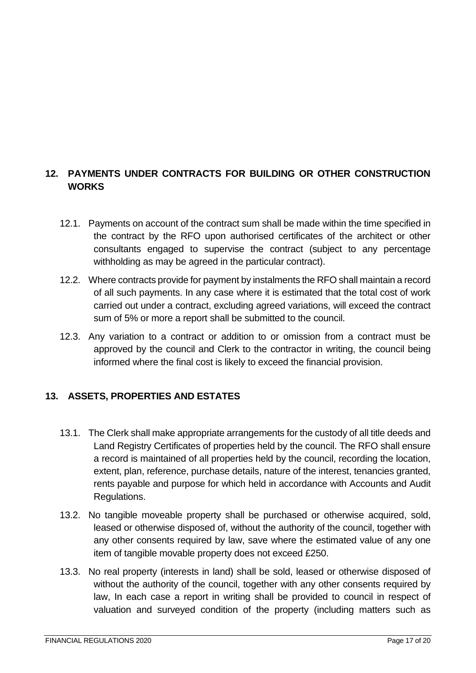# <span id="page-16-0"></span>**12. PAYMENTS UNDER CONTRACTS FOR BUILDING OR OTHER CONSTRUCTION WORKS**

- 12.1. Payments on account of the contract sum shall be made within the time specified in the contract by the RFO upon authorised certificates of the architect or other consultants engaged to supervise the contract (subject to any percentage withholding as may be agreed in the particular contract).
- 12.2. Where contracts provide for payment by instalments the RFO shall maintain a record of all such payments. In any case where it is estimated that the total cost of work carried out under a contract, excluding agreed variations, will exceed the contract sum of 5% or more a report shall be submitted to the council.
- 12.3. Any variation to a contract or addition to or omission from a contract must be approved by the council and Clerk to the contractor in writing, the council being informed where the final cost is likely to exceed the financial provision.

### <span id="page-16-1"></span>**13. ASSETS, PROPERTIES AND ESTATES**

- 13.1. The Clerk shall make appropriate arrangements for the custody of all title deeds and Land Registry Certificates of properties held by the council. The RFO shall ensure a record is maintained of all properties held by the council, recording the location, extent, plan, reference, purchase details, nature of the interest, tenancies granted, rents payable and purpose for which held in accordance with Accounts and Audit Regulations.
- 13.2. No tangible moveable property shall be purchased or otherwise acquired, sold, leased or otherwise disposed of, without the authority of the council, together with any other consents required by law, save where the estimated value of any one item of tangible movable property does not exceed £250.
- 13.3. No real property (interests in land) shall be sold, leased or otherwise disposed of without the authority of the council, together with any other consents required by law, In each case a report in writing shall be provided to council in respect of valuation and surveyed condition of the property (including matters such as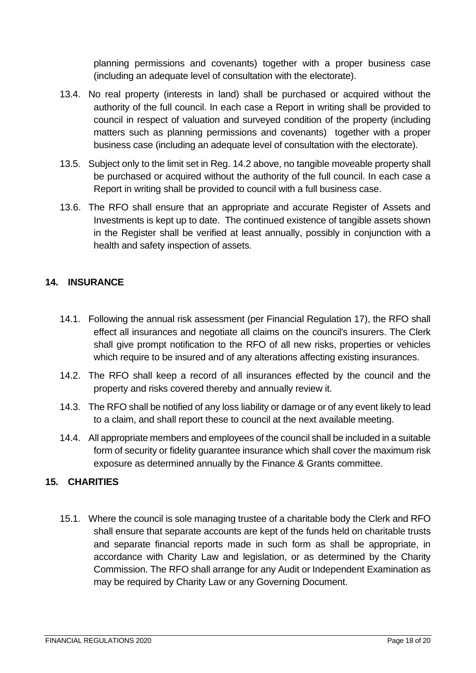planning permissions and covenants) together with a proper business case (including an adequate level of consultation with the electorate).

- 13.4. No real property (interests in land) shall be purchased or acquired without the authority of the full council. In each case a Report in writing shall be provided to council in respect of valuation and surveyed condition of the property (including matters such as planning permissions and covenants) together with a proper business case (including an adequate level of consultation with the electorate).
- 13.5. Subject only to the limit set in Reg. 14.2 above, no tangible moveable property shall be purchased or acquired without the authority of the full council. In each case a Report in writing shall be provided to council with a full business case.
- 13.6. The RFO shall ensure that an appropriate and accurate Register of Assets and Investments is kept up to date. The continued existence of tangible assets shown in the Register shall be verified at least annually, possibly in conjunction with a health and safety inspection of assets.

## <span id="page-17-0"></span>**14. INSURANCE**

- 14.1. Following the annual risk assessment (per Financial Regulation 17), the RFO shall effect all insurances and negotiate all claims on the council's insurers. The Clerk shall give prompt notification to the RFO of all new risks, properties or vehicles which require to be insured and of any alterations affecting existing insurances.
- 14.2. The RFO shall keep a record of all insurances effected by the council and the property and risks covered thereby and annually review it.
- 14.3. The RFO shall be notified of any loss liability or damage or of any event likely to lead to a claim, and shall report these to council at the next available meeting.
- 14.4. All appropriate members and employees of the council shall be included in a suitable form of security or fidelity guarantee insurance which shall cover the maximum risk exposure as determined annually by the Finance & Grants committee.

# <span id="page-17-1"></span>**15. CHARITIES**

15.1. Where the council is sole managing trustee of a charitable body the Clerk and RFO shall ensure that separate accounts are kept of the funds held on charitable trusts and separate financial reports made in such form as shall be appropriate, in accordance with Charity Law and legislation, or as determined by the Charity Commission. The RFO shall arrange for any Audit or Independent Examination as may be required by Charity Law or any Governing Document.